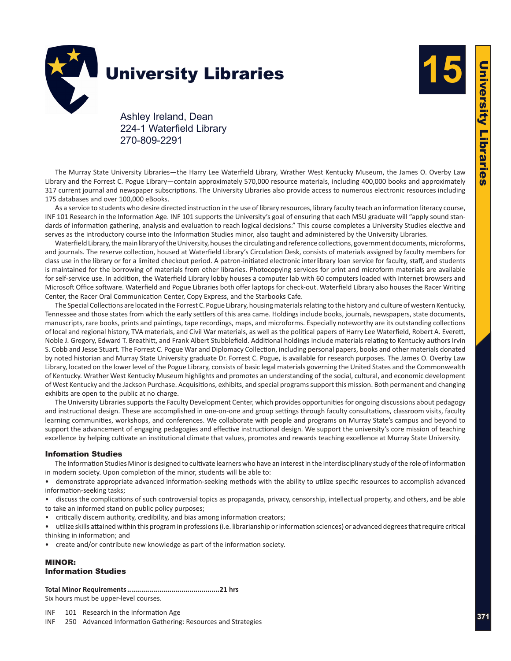

## **University Libraries**

Ashley Ireland, Dean 224-1 Waterfield Library 270-809-2291

The Murray State University Libraries—the Harry Lee Waterfield Library, Wrather West Kentucky Museum, the James O. Overby Law Library and the Forrest C. Pogue Library—contain approximately 570,000 resource materials, including 400,000 books and approximately 317 current journal and newspaper subscriptions. The University Libraries also provide access to numerous electronic resources including 175 databases and over 100,000 eBooks.

As a service to students who desire directed instruction in the use of library resources, library faculty teach an information literacy course, INF 101 Research in the Information Age. INF 101 supports the University's goal of ensuring that each MSU graduate will "apply sound standards of information gathering, analysis and evaluation to reach logical decisions." This course completes a University Studies elective and serves as the introductory course into the Information Studies minor, also taught and administered by the University Libraries.

Waterfield Library, the main library of the University, houses the circulating and reference collections, government documents, microforms, and journals. The reserve collection, housed at Waterfield Library's Circulation Desk, consists of materials assigned by faculty members for class use in the library or for a limited checkout period. A patron-initiated electronic interlibrary loan service for faculty, staff, and students is maintained for the borrowing of materials from other libraries. Photocopying services for print and microform materials are available for self-service use. In addition, the Waterfield Library lobby houses a computer lab with 60 computers loaded with Internet browsers and Microsoft Office software. Waterfield and Pogue Libraries both offer laptops for check-out. Waterfield Library also houses the Racer Writing Center, the Racer Oral Communication Center, Copy Express, and the Starbooks Cafe.

The Special Collections are located in the Forrest C. Pogue Library, housing materials relating to the history and culture of western Kentucky, Tennessee and those states from which the early settlers of this area came. Holdings include books, journals, newspapers, state documents, manuscripts, rare books, prints and paintings, tape recordings, maps, and microforms. Especially noteworthy are its outstanding collections of local and regional history, TVA materials, and Civil War materials, as well as the political papers of Harry Lee Waterfield, Robert A. Everett, Noble J. Gregory, Edward T. Breathitt, and Frank Albert Stubblefield. Additional holdings include materials relating to Kentucky authors Irvin S. Cobb and Jesse Stuart. The Forrest C. Pogue War and Diplomacy Collection, including personal papers, books and other materials donated by noted historian and Murray State University graduate Dr. Forrest C. Pogue, is available for research purposes. The James O. Overby Law Library, located on the lower level of the Pogue Library, consists of basic legal materials governing the United States and the Commonwealth of Kentucky. Wrather West Kentucky Museum highlights and promotes an understanding of the social, cultural, and economic development of West Kentucky and the Jackson Purchase. Acquisitions, exhibits, and special programs support this mission. Both permanent and changing exhibits are open to the public at no charge.

The University Libraries supports the Faculty Development Center, which provides opportunities for ongoing discussions about pedagogy and instructional design. These are accomplished in one-on-one and group settings through faculty consultations, classroom visits, faculty learning communities, workshops, and conferences. We collaborate with people and programs on Murray State's campus and beyond to support the advancement of engaging pedagogies and effective instructional design. We support the university's core mission of teaching excellence by helping cultivate an institutional climate that values, promotes and rewards teaching excellence at Murray State University.

## Infomation Studies

The Information Studies Minor is designed to cultivate learners who have an interest in the interdisciplinary study of the role of information in modern society. Upon completion of the minor, students will be able to:

• demonstrate appropriate advanced information-seeking methods with the ability to utilize specific resources to accomplish advanced information-seeking tasks;

• discuss the complications of such controversial topics as propaganda, privacy, censorship, intellectual property, and others, and be able to take an informed stand on public policy purposes;

• critically discern authority, credibility, and bias among information creators;

• utilize skills attained within this program in professions (i.e. librarianship or information sciences) or advanced degrees that require critical thinking in information; and

• create and/or contribute new knowledge as part of the information society.

## MINOR: Information Studies

**Total Minor Requirements..............................................21 hrs** Six hours must be upper-level courses.

INF 101 Research in the Information Age

INF 250 Advanced Information Gathering: Resources and Strategies